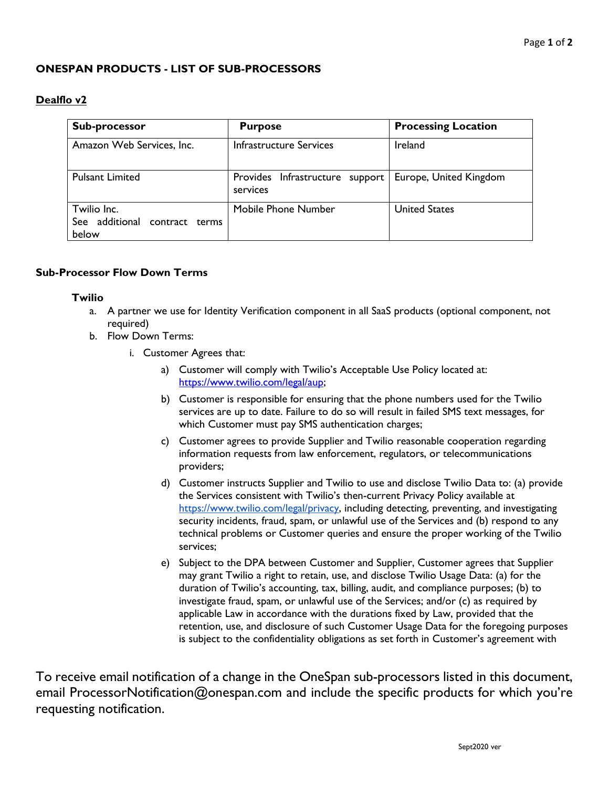## **ONESPAN PRODUCTS - LIST OF SUB-PROCESSORS**

## **Dealflo v2**

| Sub-processor                                            | <b>Purpose</b>                              | <b>Processing Location</b> |
|----------------------------------------------------------|---------------------------------------------|----------------------------|
| Amazon Web Services, Inc.                                | <b>Infrastructure Services</b>              | Ireland                    |
| <b>Pulsant Limited</b>                                   | Provides Infrastructure support<br>services | Europe, United Kingdom     |
| Twilio Inc.<br>See additional contract<br>terms<br>below | Mobile Phone Number                         | <b>United States</b>       |

## **Sub-Processor Flow Down Terms**

## **Twilio**

- a. A partner we use for Identity Verification component in all SaaS products (optional component, not required)
- b. Flow Down Terms:
	- i. Customer Agrees that:
		- a) Customer will comply with Twilio's Acceptable Use Policy located at: [https://www.twilio.com/legal/aup;](https://www.twilio.com/legal/aup)
		- b) Customer is responsible for ensuring that the phone numbers used for the Twilio services are up to date. Failure to do so will result in failed SMS text messages, for which Customer must pay SMS authentication charges;
		- c) Customer agrees to provide Supplier and Twilio reasonable cooperation regarding information requests from law enforcement, regulators, or telecommunications providers;
		- d) Customer instructs Supplier and Twilio to use and disclose Twilio Data to: (a) provide the Services consistent with Twilio's then-current Privacy Policy available at [https://www.twilio.com/legal/privacy,](https://www.twilio.com/legal/privacy) including detecting, preventing, and investigating security incidents, fraud, spam, or unlawful use of the Services and (b) respond to any technical problems or Customer queries and ensure the proper working of the Twilio services;
		- e) Subject to the DPA between Customer and Supplier, Customer agrees that Supplier may grant Twilio a right to retain, use, and disclose Twilio Usage Data: (a) for the duration of Twilio's accounting, tax, billing, audit, and compliance purposes; (b) to investigate fraud, spam, or unlawful use of the Services; and/or (c) as required by applicable Law in accordance with the durations fixed by Law, provided that the retention, use, and disclosure of such Customer Usage Data for the foregoing purposes is subject to the confidentiality obligations as set forth in Customer's agreement with

To receive email notification of a change in the OneSpan sub-processors listed in this document, email ProcessorNotification@onespan.com and include the specific products for which you're requesting notification.